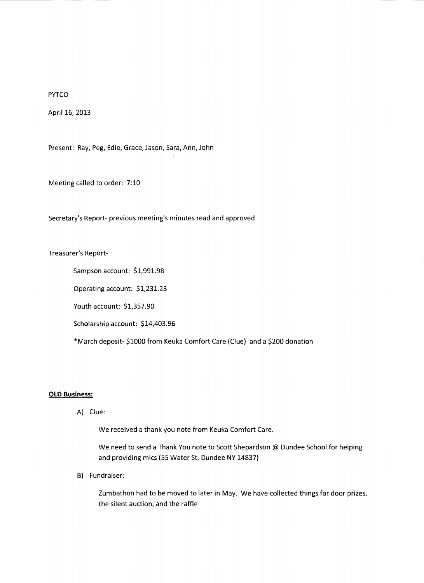PYTCO

April 16, 2013

Present: Ray, Peg, Edie, Grace, Jason, Sara, Ann, John

Meeting called to order: 7:10

Secretary's Report- previous meeting's minutes read and approved

Treasurer's Report-

Sampson account: \$1,991.98

Operating account: \$1,231.23

Youth account: \$1,357.90

Scholarship account: \$14,403.96

\*March deposit- \$1000 from Keuka Comfort Care (Clue) and a \$200 donation

## **OLD Business:**

A) Clue:

We received a thank you note from Keuka Comfort Care.

We need to send a Thank You note to Scott Shepardson @ Dundee School for helping and providing mics (55 Water St, Dundee NY 14837)

B) Fundraiser:

Zumbathon had to be moved to later in May. We have collected things for door prizes, the silent auction, and the raffle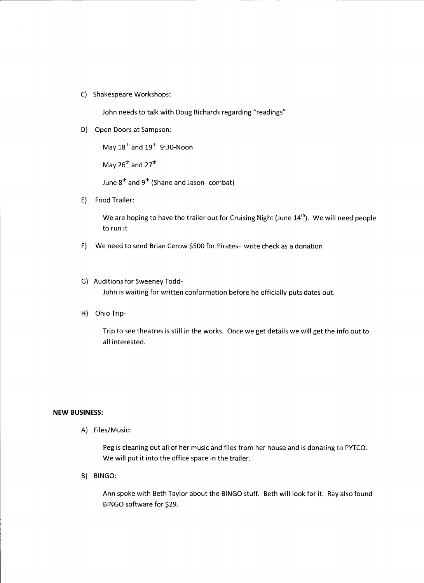C) Shakespeare Workshops:

John needs to talk with Doug Richards regarding "readings"

D) Open Doors at Sampson:

May 18<sup>th</sup> and 19<sup>th</sup> 9:30-Noon

May  $26^{th}$  and  $27^{th}$ 

June 8<sup>th</sup> and 9<sup>th</sup> (Shane and Jason- combat)

E) Food Trailer:

We are hoping to have the trailer out for Cruising Night (June  $14<sup>th</sup>$ ). We will need people to run it

- F) We need to send Brian Cerow \$500 for Pirates- write check as a donation
- G) Auditions for Sweeney Todd-John is waiting for written conformation before he officially puts dates out.
- H) Ohio Trip-

Trip to see theatres is still in the works. Once we get details we will get the info out to all interested.

## **NEW BUSINESS:**

A) Files/Music:

Peg is cleaning out all of her music and files from her house and is donating to PYTCO. We will put it into the office space in the trailer.

B) BINGO:

Ann spoke with Beth Taylor about the BINGO stuff. Beth will look for it. Ray also found BINGO software for \$29.